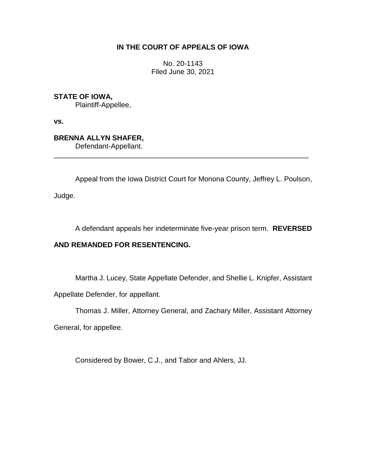# **IN THE COURT OF APPEALS OF IOWA**

No. 20-1143 Filed June 30, 2021

**STATE OF IOWA,** Plaintiff-Appellee,

**vs.**

**BRENNA ALLYN SHAFER,** Defendant-Appellant.

Appeal from the Iowa District Court for Monona County, Jeffrey L. Poulson,

\_\_\_\_\_\_\_\_\_\_\_\_\_\_\_\_\_\_\_\_\_\_\_\_\_\_\_\_\_\_\_\_\_\_\_\_\_\_\_\_\_\_\_\_\_\_\_\_\_\_\_\_\_\_\_\_\_\_\_\_\_\_\_\_

Judge.

A defendant appeals her indeterminate five-year prison term. **REVERSED** 

## **AND REMANDED FOR RESENTENCING.**

Martha J. Lucey, State Appellate Defender, and Shellie L. Knipfer, Assistant

Appellate Defender, for appellant.

Thomas J. Miller, Attorney General, and Zachary Miller, Assistant Attorney

General, for appellee.

Considered by Bower, C.J., and Tabor and Ahlers, JJ.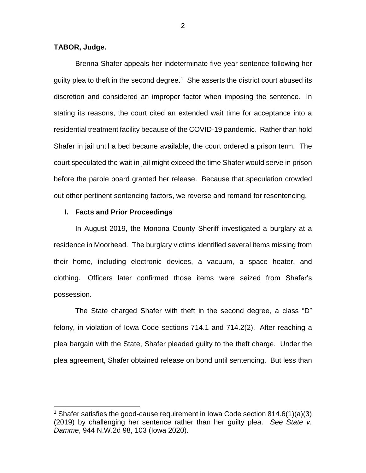### **TABOR, Judge.**

 $\overline{a}$ 

Brenna Shafer appeals her indeterminate five-year sentence following her guilty plea to theft in the second degree.<sup>1</sup> She asserts the district court abused its discretion and considered an improper factor when imposing the sentence. In stating its reasons, the court cited an extended wait time for acceptance into a residential treatment facility because of the COVID-19 pandemic. Rather than hold Shafer in jail until a bed became available, the court ordered a prison term. The court speculated the wait in jail might exceed the time Shafer would serve in prison before the parole board granted her release. Because that speculation crowded out other pertinent sentencing factors, we reverse and remand for resentencing.

### **I. Facts and Prior Proceedings**

In August 2019, the Monona County Sheriff investigated a burglary at a residence in Moorhead. The burglary victims identified several items missing from their home, including electronic devices, a vacuum, a space heater, and clothing. Officers later confirmed those items were seized from Shafer's possession.

The State charged Shafer with theft in the second degree, a class "D" felony, in violation of Iowa Code sections 714.1 and 714.2(2). After reaching a plea bargain with the State, Shafer pleaded guilty to the theft charge. Under the plea agreement, Shafer obtained release on bond until sentencing. But less than

<sup>&</sup>lt;sup>1</sup> Shafer satisfies the good-cause requirement in Iowa Code section  $814.6(1)(a)(3)$ (2019) by challenging her sentence rather than her guilty plea. *See State v. Damme*, 944 N.W.2d 98, 103 (Iowa 2020).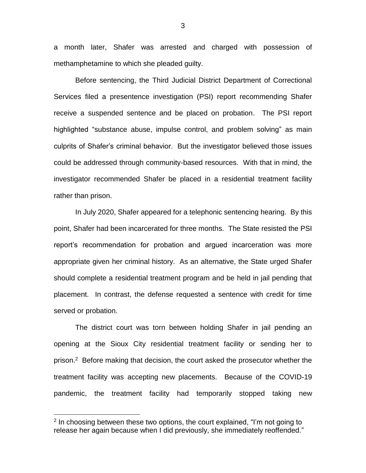a month later, Shafer was arrested and charged with possession of methamphetamine to which she pleaded guilty.

Before sentencing, the Third Judicial District Department of Correctional Services filed a presentence investigation (PSI) report recommending Shafer receive a suspended sentence and be placed on probation. The PSI report highlighted "substance abuse, impulse control, and problem solving" as main culprits of Shafer's criminal behavior. But the investigator believed those issues could be addressed through community-based resources. With that in mind, the investigator recommended Shafer be placed in a residential treatment facility rather than prison.

In July 2020, Shafer appeared for a telephonic sentencing hearing. By this point, Shafer had been incarcerated for three months. The State resisted the PSI report's recommendation for probation and argued incarceration was more appropriate given her criminal history. As an alternative, the State urged Shafer should complete a residential treatment program and be held in jail pending that placement. In contrast, the defense requested a sentence with credit for time served or probation.

The district court was torn between holding Shafer in jail pending an opening at the Sioux City residential treatment facility or sending her to prison.<sup>2</sup> Before making that decision, the court asked the prosecutor whether the treatment facility was accepting new placements. Because of the COVID-19 pandemic, the treatment facility had temporarily stopped taking new

 $\overline{a}$ 

3

<sup>&</sup>lt;sup>2</sup> In choosing between these two options, the court explained, "I'm not going to release her again because when I did previously, she immediately reoffended."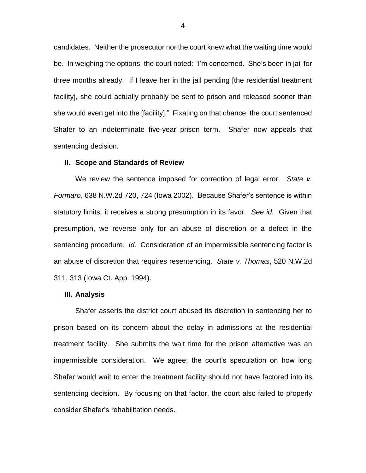candidates. Neither the prosecutor nor the court knew what the waiting time would be. In weighing the options, the court noted: "I'm concerned. She's been in jail for three months already. If I leave her in the jail pending [the residential treatment facility], she could actually probably be sent to prison and released sooner than she would even get into the [facility]." Fixating on that chance, the court sentenced Shafer to an indeterminate five-year prison term. Shafer now appeals that sentencing decision.

#### **II. Scope and Standards of Review**

We review the sentence imposed for correction of legal error. *State v. Formaro*, 638 N.W.2d 720, 724 (Iowa 2002). Because Shafer's sentence is within statutory limits, it receives a strong presumption in its favor. *See id.* Given that presumption, we reverse only for an abuse of discretion or a defect in the sentencing procedure. *Id*. Consideration of an impermissible sentencing factor is an abuse of discretion that requires resentencing. *State v. Thomas*, 520 N.W.2d 311, 313 (Iowa Ct. App. 1994).

#### **III. Analysis**

Shafer asserts the district court abused its discretion in sentencing her to prison based on its concern about the delay in admissions at the residential treatment facility. She submits the wait time for the prison alternative was an impermissible consideration. We agree; the court's speculation on how long Shafer would wait to enter the treatment facility should not have factored into its sentencing decision. By focusing on that factor, the court also failed to properly consider Shafer's rehabilitation needs.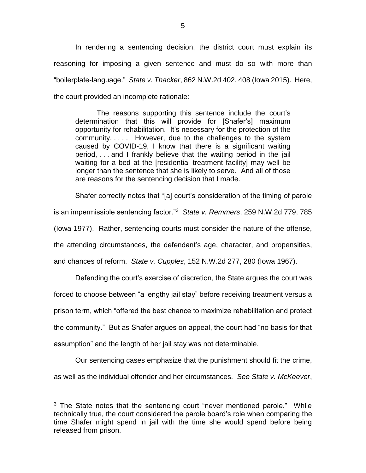In rendering a sentencing decision, the district court must explain its reasoning for imposing a given sentence and must do so with more than "boilerplate-language." *State v. Thacker*, 862 N.W.2d 402, 408 (Iowa 2015). Here, the court provided an incomplete rationale:

The reasons supporting this sentence include the court's determination that this will provide for [Shafer's] maximum opportunity for rehabilitation. It's necessary for the protection of the community. . . . . However, due to the challenges to the system caused by COVID-19, I know that there is a significant waiting period, . . . and I frankly believe that the waiting period in the jail waiting for a bed at the [residential treatment facility] may well be longer than the sentence that she is likely to serve. And all of those are reasons for the sentencing decision that I made.

Shafer correctly notes that "[a] court's consideration of the timing of parole is an impermissible sentencing factor."<sup>3</sup> *State v. Remmers*, 259 N.W.2d 779, 785 (Iowa 1977). Rather, sentencing courts must consider the nature of the offense, the attending circumstances, the defendant's age, character, and propensities, and chances of reform. *State v. Cupples*, 152 N.W.2d 277, 280 (Iowa 1967).

Defending the court's exercise of discretion, the State argues the court was forced to choose between "a lengthy jail stay" before receiving treatment versus a prison term, which "offered the best chance to maximize rehabilitation and protect the community." But as Shafer argues on appeal, the court had "no basis for that assumption" and the length of her jail stay was not determinable.

Our sentencing cases emphasize that the punishment should fit the crime, as well as the individual offender and her circumstances. *See State v. McKeever*,

 $\overline{a}$ 

 $3$  The State notes that the sentencing court "never mentioned parole." While technically true, the court considered the parole board's role when comparing the time Shafer might spend in jail with the time she would spend before being released from prison.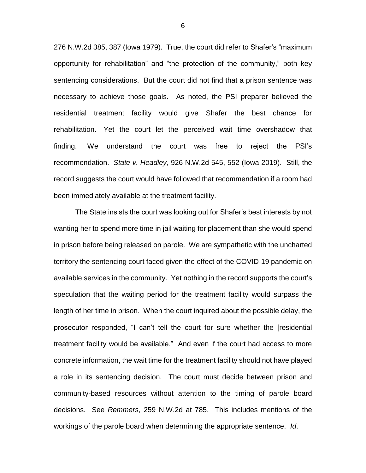276 N.W.2d 385, 387 (Iowa 1979). True, the court did refer to Shafer's "maximum opportunity for rehabilitation" and "the protection of the community," both key sentencing considerations. But the court did not find that a prison sentence was necessary to achieve those goals. As noted, the PSI preparer believed the residential treatment facility would give Shafer the best chance for rehabilitation. Yet the court let the perceived wait time overshadow that finding. We understand the court was free to reject the PSI's recommendation. *State v. Headley*, 926 N.W.2d 545, 552 (Iowa 2019). Still, the record suggests the court would have followed that recommendation if a room had been immediately available at the treatment facility.

The State insists the court was looking out for Shafer's best interests by not wanting her to spend more time in jail waiting for placement than she would spend in prison before being released on parole. We are sympathetic with the uncharted territory the sentencing court faced given the effect of the COVID-19 pandemic on available services in the community. Yet nothing in the record supports the court's speculation that the waiting period for the treatment facility would surpass the length of her time in prison. When the court inquired about the possible delay, the prosecutor responded, "I can't tell the court for sure whether the [residential treatment facility would be available." And even if the court had access to more concrete information, the wait time for the treatment facility should not have played a role in its sentencing decision. The court must decide between prison and community-based resources without attention to the timing of parole board decisions. See *Remmers*, 259 N.W.2d at 785. This includes mentions of the workings of the parole board when determining the appropriate sentence. *Id*.

6